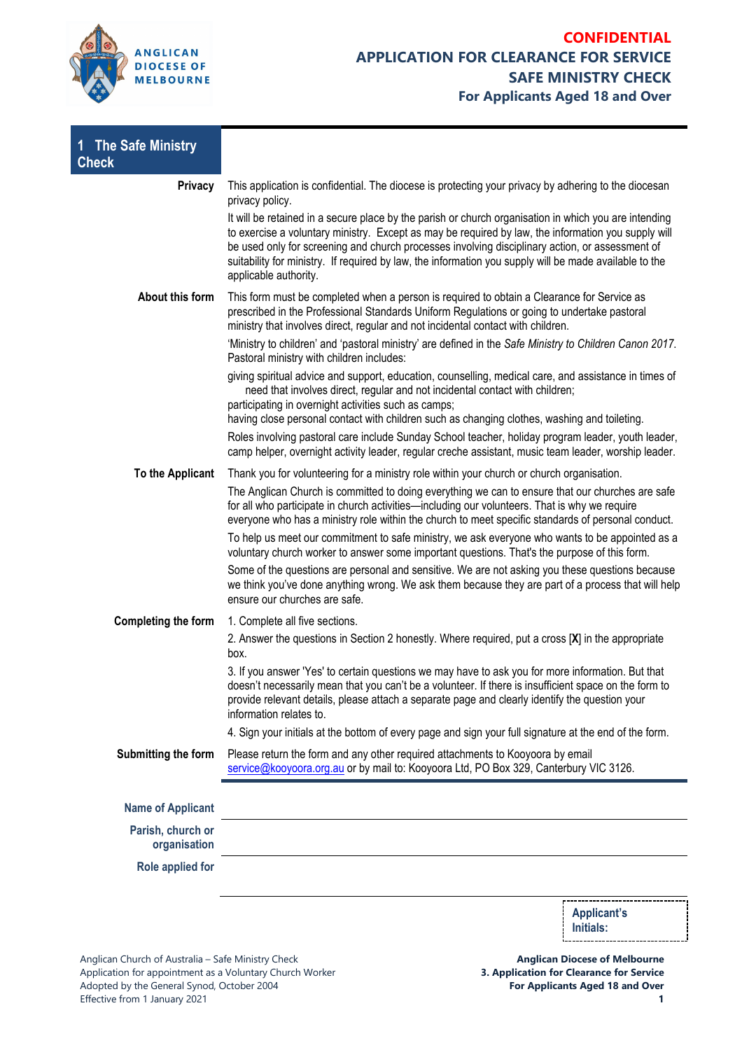

| 1 The Safe Ministry<br><b>Check</b> |                                                                                                                                                                                                                                                                                                                                                                                                                                                    |                    |  |
|-------------------------------------|----------------------------------------------------------------------------------------------------------------------------------------------------------------------------------------------------------------------------------------------------------------------------------------------------------------------------------------------------------------------------------------------------------------------------------------------------|--------------------|--|
| <b>Privacy</b>                      | This application is confidential. The diocese is protecting your privacy by adhering to the diocesan<br>privacy policy.                                                                                                                                                                                                                                                                                                                            |                    |  |
|                                     | It will be retained in a secure place by the parish or church organisation in which you are intending<br>to exercise a voluntary ministry. Except as may be required by law, the information you supply will<br>be used only for screening and church processes involving disciplinary action, or assessment of<br>suitability for ministry. If required by law, the information you supply will be made available to the<br>applicable authority. |                    |  |
| About this form                     | This form must be completed when a person is required to obtain a Clearance for Service as<br>prescribed in the Professional Standards Uniform Regulations or going to undertake pastoral<br>ministry that involves direct, regular and not incidental contact with children.<br>'Ministry to children' and 'pastoral ministry' are defined in the Safe Ministry to Children Canon 2017.<br>Pastoral ministry with children includes:              |                    |  |
|                                     |                                                                                                                                                                                                                                                                                                                                                                                                                                                    |                    |  |
|                                     | giving spiritual advice and support, education, counselling, medical care, and assistance in times of<br>need that involves direct, regular and not incidental contact with children;<br>participating in overnight activities such as camps;<br>having close personal contact with children such as changing clothes, washing and toileting.                                                                                                      |                    |  |
|                                     | Roles involving pastoral care include Sunday School teacher, holiday program leader, youth leader,<br>camp helper, overnight activity leader, regular creche assistant, music team leader, worship leader.                                                                                                                                                                                                                                         |                    |  |
| To the Applicant                    | Thank you for volunteering for a ministry role within your church or church organisation.                                                                                                                                                                                                                                                                                                                                                          |                    |  |
|                                     | The Anglican Church is committed to doing everything we can to ensure that our churches are safe<br>for all who participate in church activities—including our volunteers. That is why we require<br>everyone who has a ministry role within the church to meet specific standards of personal conduct.                                                                                                                                            |                    |  |
|                                     | To help us meet our commitment to safe ministry, we ask everyone who wants to be appointed as a<br>voluntary church worker to answer some important questions. That's the purpose of this form.                                                                                                                                                                                                                                                    |                    |  |
|                                     | Some of the questions are personal and sensitive. We are not asking you these questions because<br>we think you've done anything wrong. We ask them because they are part of a process that will help<br>ensure our churches are safe.                                                                                                                                                                                                             |                    |  |
| Completing the form                 | 1. Complete all five sections.                                                                                                                                                                                                                                                                                                                                                                                                                     |                    |  |
|                                     | 2. Answer the questions in Section 2 honestly. Where required, put a cross [X] in the appropriate<br>box.                                                                                                                                                                                                                                                                                                                                          |                    |  |
|                                     | 3. If you answer 'Yes' to certain questions we may have to ask you for more information. But that<br>doesn't necessarily mean that you can't be a volunteer. If there is insufficient space on the form to<br>provide relevant details, please attach a separate page and clearly identify the question your<br>information relates to.                                                                                                            |                    |  |
|                                     | 4. Sign your initials at the bottom of every page and sign your full signature at the end of the form.                                                                                                                                                                                                                                                                                                                                             |                    |  |
| Submitting the form                 | Please return the form and any other required attachments to Kooyoora by email<br>service@kooyoora.org.au or by mail to: Kooyoora Ltd, PO Box 329, Canterbury VIC 3126.                                                                                                                                                                                                                                                                            |                    |  |
| <b>Name of Applicant</b>            |                                                                                                                                                                                                                                                                                                                                                                                                                                                    |                    |  |
| Parish, church or<br>organisation   |                                                                                                                                                                                                                                                                                                                                                                                                                                                    |                    |  |
| Role applied for                    |                                                                                                                                                                                                                                                                                                                                                                                                                                                    |                    |  |
|                                     |                                                                                                                                                                                                                                                                                                                                                                                                                                                    |                    |  |
|                                     |                                                                                                                                                                                                                                                                                                                                                                                                                                                    | <b>Applicant's</b> |  |

**Anglican Diocese of Melbourne 3. Application for Clearance for Service For Applicants Aged 18 and Over**

**Initials:**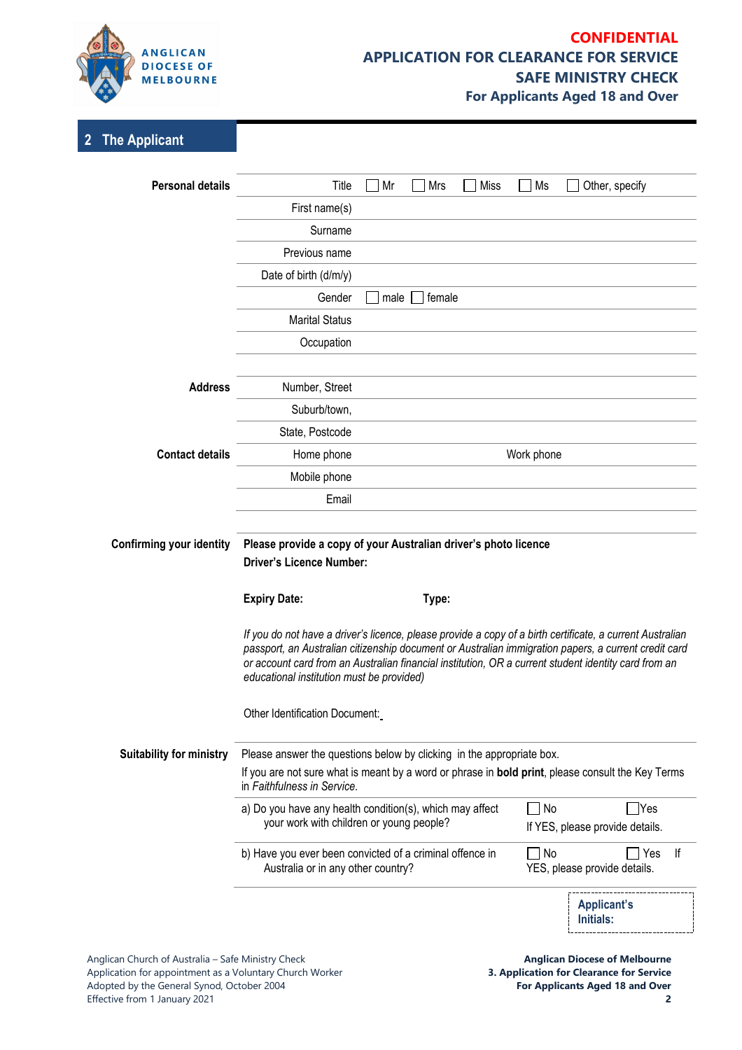

## **CONFIDENTIAL APPLICATION FOR CLEARANCE FOR SERVICE SAFE MINISTRY CHECK For Applicants Aged 18 and Over**

# **2 The Applicant**

| <b>Personal details</b>         | Title                                                                                                                                                                                                                                                                                                                                                                  | Mr<br>Mrs      | Miss | Ms         | Other, specify                                   |    |
|---------------------------------|------------------------------------------------------------------------------------------------------------------------------------------------------------------------------------------------------------------------------------------------------------------------------------------------------------------------------------------------------------------------|----------------|------|------------|--------------------------------------------------|----|
|                                 | First name(s)                                                                                                                                                                                                                                                                                                                                                          |                |      |            |                                                  |    |
|                                 | Surname                                                                                                                                                                                                                                                                                                                                                                |                |      |            |                                                  |    |
|                                 | Previous name                                                                                                                                                                                                                                                                                                                                                          |                |      |            |                                                  |    |
|                                 | Date of birth (d/m/y)                                                                                                                                                                                                                                                                                                                                                  |                |      |            |                                                  |    |
|                                 | Gender                                                                                                                                                                                                                                                                                                                                                                 | male<br>female |      |            |                                                  |    |
|                                 | <b>Marital Status</b>                                                                                                                                                                                                                                                                                                                                                  |                |      |            |                                                  |    |
|                                 | Occupation                                                                                                                                                                                                                                                                                                                                                             |                |      |            |                                                  |    |
| <b>Address</b>                  | Number, Street                                                                                                                                                                                                                                                                                                                                                         |                |      |            |                                                  |    |
|                                 | Suburb/town,                                                                                                                                                                                                                                                                                                                                                           |                |      |            |                                                  |    |
|                                 | State, Postcode                                                                                                                                                                                                                                                                                                                                                        |                |      |            |                                                  |    |
| <b>Contact details</b>          | Home phone                                                                                                                                                                                                                                                                                                                                                             |                |      | Work phone |                                                  |    |
|                                 | Mobile phone                                                                                                                                                                                                                                                                                                                                                           |                |      |            |                                                  |    |
|                                 | Email                                                                                                                                                                                                                                                                                                                                                                  |                |      |            |                                                  |    |
|                                 |                                                                                                                                                                                                                                                                                                                                                                        |                |      |            |                                                  |    |
| <b>Confirming your identity</b> | Please provide a copy of your Australian driver's photo licence                                                                                                                                                                                                                                                                                                        |                |      |            |                                                  |    |
|                                 | <b>Driver's Licence Number:</b>                                                                                                                                                                                                                                                                                                                                        |                |      |            |                                                  |    |
|                                 | <b>Expiry Date:</b>                                                                                                                                                                                                                                                                                                                                                    | Type:          |      |            |                                                  |    |
|                                 | If you do not have a driver's licence, please provide a copy of a birth certificate, a current Australian<br>passport, an Australian citizenship document or Australian immigration papers, a current credit card<br>or account card from an Australian financial institution, OR a current student identity card from an<br>educational institution must be provided) |                |      |            |                                                  |    |
|                                 | Other Identification Document:                                                                                                                                                                                                                                                                                                                                         |                |      |            |                                                  |    |
| <b>Suitability for ministry</b> | Please answer the questions below by clicking in the appropriate box.<br>If you are not sure what is meant by a word or phrase in <b>bold print</b> , please consult the Key Terms<br>in Faithfulness in Service.                                                                                                                                                      |                |      |            |                                                  |    |
|                                 | a) Do you have any health condition(s), which may affect<br>your work with children or young people?                                                                                                                                                                                                                                                                   |                |      | $\Box$ No  | $\exists$ Yes<br>If YES, please provide details. |    |
|                                 | b) Have you ever been convicted of a criminal offence in<br>Australia or in any other country?                                                                                                                                                                                                                                                                         |                |      | $\Box$ No  | Yes<br>YES, please provide details.              | lf |
|                                 |                                                                                                                                                                                                                                                                                                                                                                        |                |      |            | <b>Applicant's</b><br><b>Initials:</b>           |    |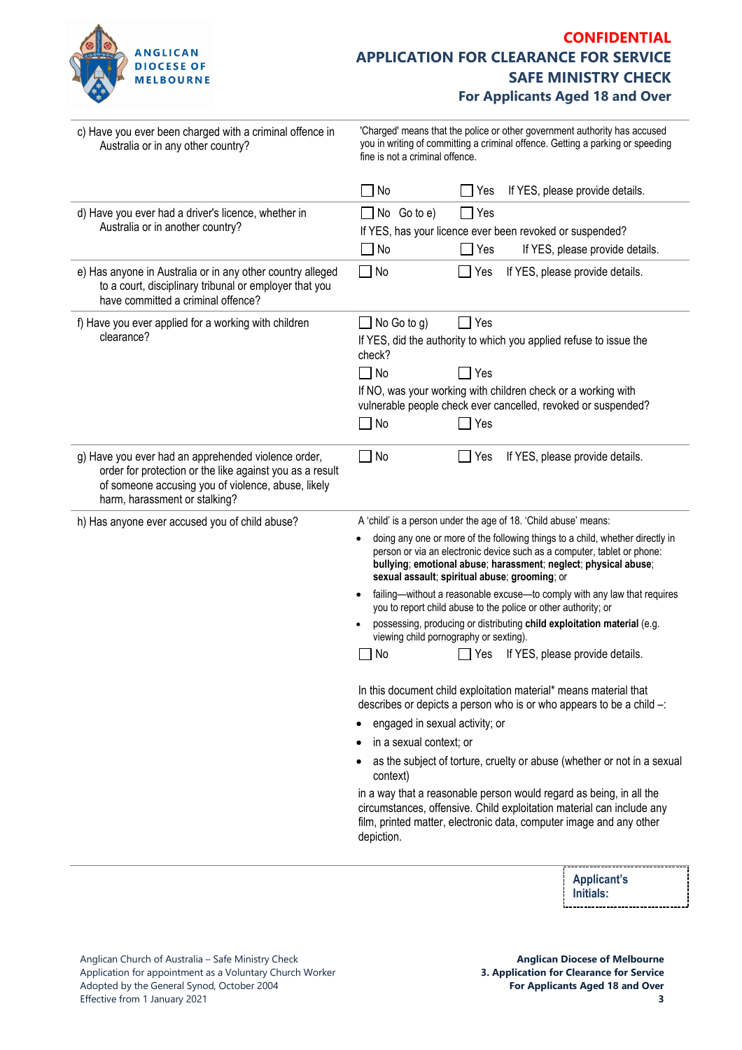

## **CONFIDENTIAL APPLICATION FOR CLEARANCE FOR SERVICE SAFE MINISTRY CHECK For Applicants Aged 18 and Over**

| 'Charged' means that the police or other government authority has accused<br>you in writing of committing a criminal offence. Getting a parking or speeding<br>fine is not a criminal offence.                                                                                                                                                                                                                                                                                                                                                                                                                                                                                                                                                                                                                                                                                                                                                                                                                                                                                                                                                                                                           |  |  |
|----------------------------------------------------------------------------------------------------------------------------------------------------------------------------------------------------------------------------------------------------------------------------------------------------------------------------------------------------------------------------------------------------------------------------------------------------------------------------------------------------------------------------------------------------------------------------------------------------------------------------------------------------------------------------------------------------------------------------------------------------------------------------------------------------------------------------------------------------------------------------------------------------------------------------------------------------------------------------------------------------------------------------------------------------------------------------------------------------------------------------------------------------------------------------------------------------------|--|--|
| If YES, please provide details.<br>No<br>Yes                                                                                                                                                                                                                                                                                                                                                                                                                                                                                                                                                                                                                                                                                                                                                                                                                                                                                                                                                                                                                                                                                                                                                             |  |  |
| No Go to e)<br>Yes<br>If YES, has your licence ever been revoked or suspended?<br>If YES, please provide details.<br>No<br>Yes                                                                                                                                                                                                                                                                                                                                                                                                                                                                                                                                                                                                                                                                                                                                                                                                                                                                                                                                                                                                                                                                           |  |  |
| $\Box$ No<br>If YES, please provide details.<br>Yes                                                                                                                                                                                                                                                                                                                                                                                                                                                                                                                                                                                                                                                                                                                                                                                                                                                                                                                                                                                                                                                                                                                                                      |  |  |
| $\Box$ No Go to g)<br>Yes<br>If YES, did the authority to which you applied refuse to issue the<br>check?<br>$\Box$ No<br>$\sqsupset$ Yes<br>If NO, was your working with children check or a working with<br>vulnerable people check ever cancelled, revoked or suspended?<br>$\Box$ No<br>Yes                                                                                                                                                                                                                                                                                                                                                                                                                                                                                                                                                                                                                                                                                                                                                                                                                                                                                                          |  |  |
| $\Box$ No<br>$\Box$ Yes<br>If YES, please provide details.                                                                                                                                                                                                                                                                                                                                                                                                                                                                                                                                                                                                                                                                                                                                                                                                                                                                                                                                                                                                                                                                                                                                               |  |  |
| A 'child' is a person under the age of 18. 'Child abuse' means:<br>doing any one or more of the following things to a child, whether directly in<br>person or via an electronic device such as a computer, tablet or phone:<br>bullying; emotional abuse; harassment; neglect; physical abuse;<br>sexual assault; spiritual abuse; grooming; or<br>failing-without a reasonable excuse-to comply with any law that requires<br>you to report child abuse to the police or other authority; or<br>possessing, producing or distributing child exploitation material (e.g.<br>viewing child pornography or sexting).<br>If YES, please provide details.<br>No<br>Yes<br>In this document child exploitation material* means material that<br>describes or depicts a person who is or who appears to be a child -:<br>engaged in sexual activity; or<br>in a sexual context; or<br>as the subject of torture, cruelty or abuse (whether or not in a sexual<br>context)<br>in a way that a reasonable person would regard as being, in all the<br>circumstances, offensive. Child exploitation material can include any<br>film, printed matter, electronic data, computer image and any other<br>depiction. |  |  |
|                                                                                                                                                                                                                                                                                                                                                                                                                                                                                                                                                                                                                                                                                                                                                                                                                                                                                                                                                                                                                                                                                                                                                                                                          |  |  |

**Applicant's Initials:**÷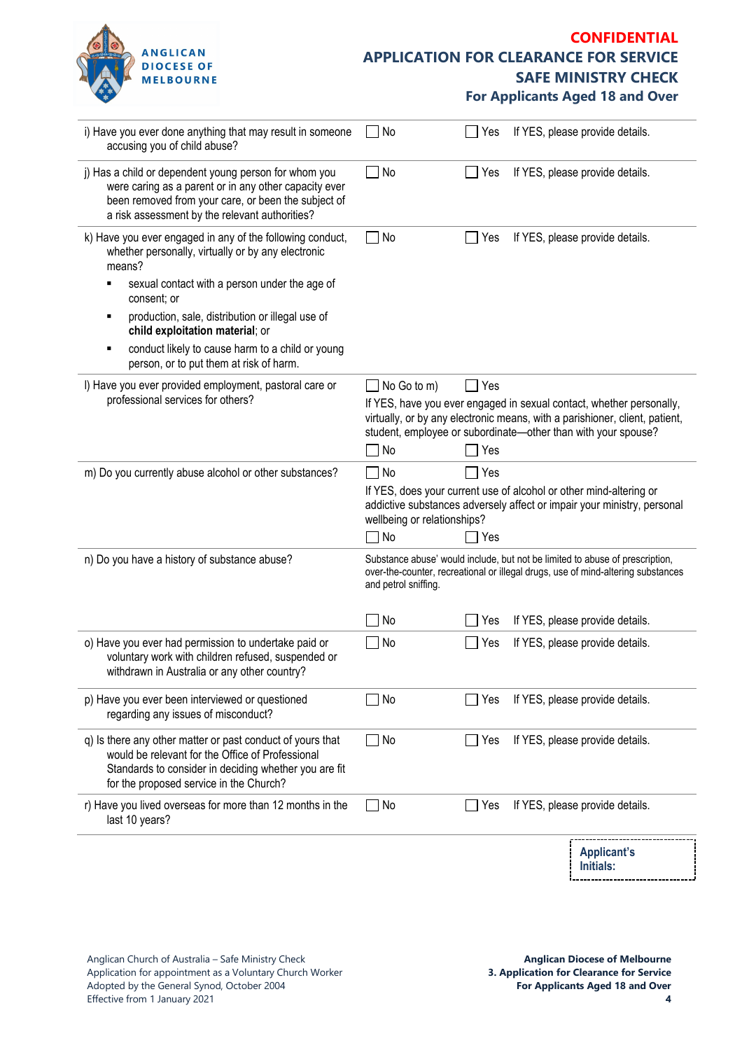

## **CONFIDENTIAL APPLICATION FOR CLEARANCE FOR SERVICE SAFE MINISTRY CHECK**

**For Applicants Aged 18 and Over**

| i) Have you ever done anything that may result in someone<br>accusing you of child abuse?                                                                                                                               | No                                                                                                                     | Yes                    | If YES, please provide details.                                                                                                                                  |
|-------------------------------------------------------------------------------------------------------------------------------------------------------------------------------------------------------------------------|------------------------------------------------------------------------------------------------------------------------|------------------------|------------------------------------------------------------------------------------------------------------------------------------------------------------------|
| j) Has a child or dependent young person for whom you<br>were caring as a parent or in any other capacity ever<br>been removed from your care, or been the subject of<br>a risk assessment by the relevant authorities? | No<br>$\mathbf{I}$                                                                                                     | Yes                    | If YES, please provide details.                                                                                                                                  |
| k) Have you ever engaged in any of the following conduct,<br>whether personally, virtually or by any electronic<br>means?                                                                                               | No<br>$\blacksquare$                                                                                                   | Yes                    | If YES, please provide details.                                                                                                                                  |
| sexual contact with a person under the age of<br>consent; or                                                                                                                                                            |                                                                                                                        |                        |                                                                                                                                                                  |
| production, sale, distribution or illegal use of<br>child exploitation material; or                                                                                                                                     |                                                                                                                        |                        |                                                                                                                                                                  |
| conduct likely to cause harm to a child or young<br>person, or to put them at risk of harm.                                                                                                                             |                                                                                                                        |                        |                                                                                                                                                                  |
| I) Have you ever provided employment, pastoral care or<br>professional services for others?                                                                                                                             | No Go to m)<br>student, employee or subordinate-other than with your spouse?<br>No                                     | $\sqsupset$ Yes<br>Yes | If YES, have you ever engaged in sexual contact, whether personally,<br>virtually, or by any electronic means, with a parishioner, client, patient,              |
| m) Do you currently abuse alcohol or other substances?                                                                                                                                                                  | $\sqcap$ No<br>If YES, does your current use of alcohol or other mind-altering or<br>wellbeing or relationships?<br>No | Yes<br>Yes             | addictive substances adversely affect or impair your ministry, personal                                                                                          |
| n) Do you have a history of substance abuse?                                                                                                                                                                            | and petrol sniffing.                                                                                                   |                        | Substance abuse' would include, but not be limited to abuse of prescription,<br>over-the-counter, recreational or illegal drugs, use of mind-altering substances |
|                                                                                                                                                                                                                         | No                                                                                                                     | Yes                    | If YES, please provide details.                                                                                                                                  |
| o) Have you ever had permission to undertake paid or<br>voluntary work with children refused, suspended or<br>withdrawn in Australia or any other country?                                                              | No                                                                                                                     | Yes                    | If YES, please provide details.                                                                                                                                  |
| p) Have you ever been interviewed or questioned<br>regarding any issues of misconduct?                                                                                                                                  | No                                                                                                                     | Yes                    | If YES, please provide details.                                                                                                                                  |
| q) Is there any other matter or past conduct of yours that<br>would be relevant for the Office of Professional<br>Standards to consider in deciding whether you are fit<br>for the proposed service in the Church?      | No                                                                                                                     | Yes                    | If YES, please provide details.                                                                                                                                  |
| r) Have you lived overseas for more than 12 months in the<br>last 10 years?                                                                                                                                             | No<br>$\mathbf{I}$                                                                                                     | Yes                    | If YES, please provide details.                                                                                                                                  |
|                                                                                                                                                                                                                         |                                                                                                                        |                        | <b>Applicant's</b><br>Initials:                                                                                                                                  |

----------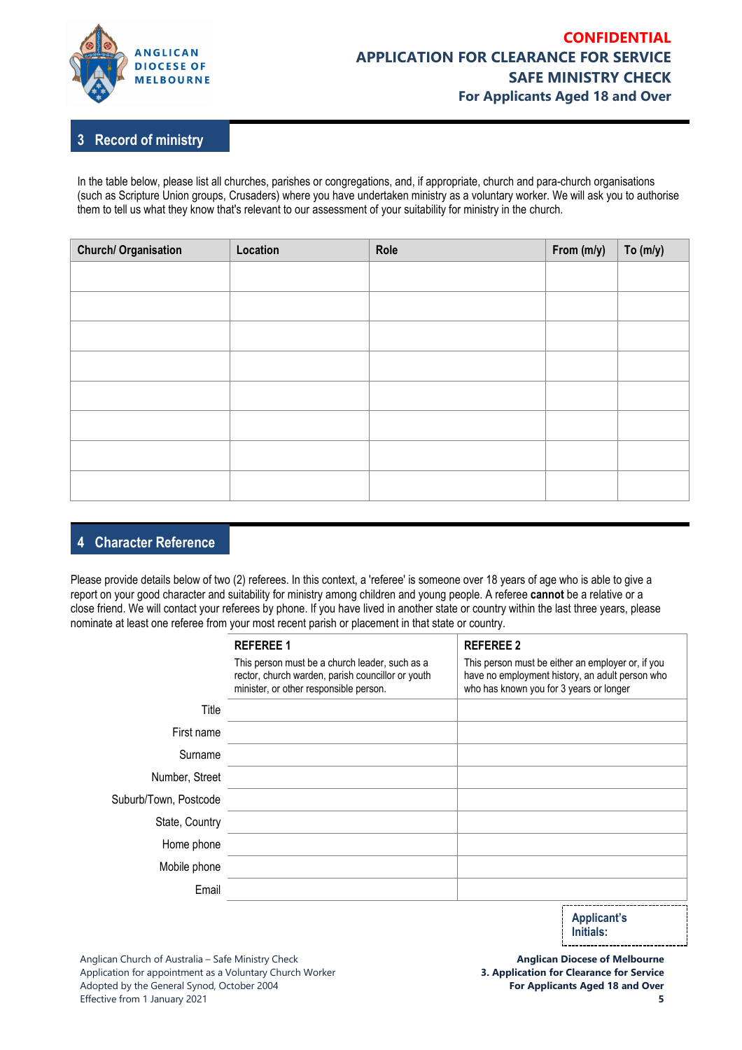

#### **3 Record of ministry**

In the table below, please list all churches, parishes or congregations, and, if appropriate, church and para-church organisations (such as Scripture Union groups, Crusaders) where you have undertaken ministry as a voluntary worker. We will ask you to authorise them to tell us what they know that's relevant to our assessment of your suitability for ministry in the church.

| <b>Church/ Organisation</b> | Location | Role | From (m/y) | To $(m/y)$ |
|-----------------------------|----------|------|------------|------------|
|                             |          |      |            |            |
|                             |          |      |            |            |
|                             |          |      |            |            |
|                             |          |      |            |            |
|                             |          |      |            |            |
|                             |          |      |            |            |
|                             |          |      |            |            |
|                             |          |      |            |            |
|                             |          |      |            |            |

#### **4 Character Reference**

Please provide details below of two (2) referees. In this context, a 'referee' is someone over 18 years of age who is able to give a report on your good character and suitability for ministry among children and young people. A referee **cannot** be a relative or a close friend. We will contact your referees by phone. If you have lived in another state or country within the last three years, please nominate at least one referee from your most recent parish or placement in that state or country.

|                       | <b>REFEREE 1</b>                                                                                                                              | <b>REFEREE 2</b>                                                                                                                                |
|-----------------------|-----------------------------------------------------------------------------------------------------------------------------------------------|-------------------------------------------------------------------------------------------------------------------------------------------------|
|                       | This person must be a church leader, such as a<br>rector, church warden, parish councillor or youth<br>minister, or other responsible person. | This person must be either an employer or, if you<br>have no employment history, an adult person who<br>who has known you for 3 years or longer |
| Title                 |                                                                                                                                               |                                                                                                                                                 |
| First name            |                                                                                                                                               |                                                                                                                                                 |
| Surname               |                                                                                                                                               |                                                                                                                                                 |
| Number, Street        |                                                                                                                                               |                                                                                                                                                 |
| Suburb/Town, Postcode |                                                                                                                                               |                                                                                                                                                 |
| State, Country        |                                                                                                                                               |                                                                                                                                                 |
| Home phone            |                                                                                                                                               |                                                                                                                                                 |
| Mobile phone          |                                                                                                                                               |                                                                                                                                                 |
| Email                 |                                                                                                                                               |                                                                                                                                                 |
|                       |                                                                                                                                               | Annlicant's                                                                                                                                     |

**Applicant's Initials:** 

**Anglican Diocese of Melbourne 3. Application for Clearance for Service For Applicants Aged 18 and Over**